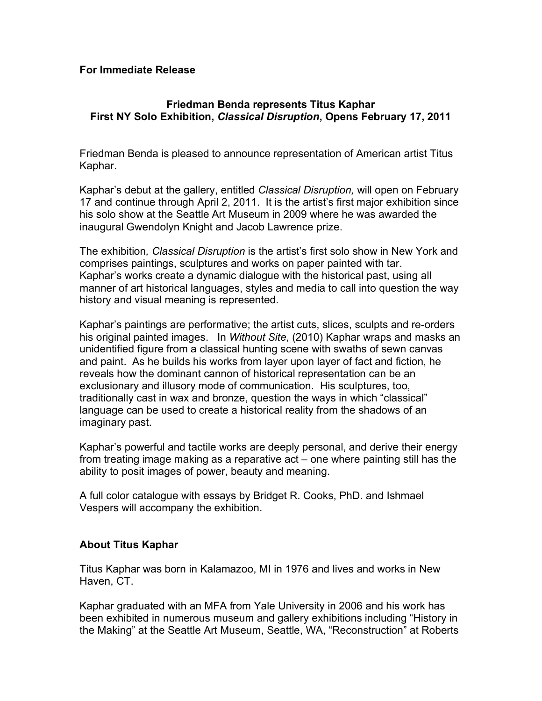## **For Immediate Release**

## **Friedman Benda represents Titus Kaphar First NY Solo Exhibition,** *Classical Disruption***, Opens February 17, 2011**

Friedman Benda is pleased to announce representation of American artist Titus Kaphar.

Kaphar's debut at the gallery, entitled *Classical Disruption,* will open on February 17 and continue through April 2, 2011. It is the artist's first major exhibition since his solo show at the Seattle Art Museum in 2009 where he was awarded the inaugural Gwendolyn Knight and Jacob Lawrence prize.

The exhibition*, Classical Disruption* is the artist's first solo show in New York and comprises paintings, sculptures and works on paper painted with tar. Kaphar's works create a dynamic dialogue with the historical past, using all manner of art historical languages, styles and media to call into question the way history and visual meaning is represented.

Kaphar's paintings are performative; the artist cuts, slices, sculpts and re-orders his original painted images. In *Without Site*, (2010) Kaphar wraps and masks an unidentified figure from a classical hunting scene with swaths of sewn canvas and paint. As he builds his works from layer upon layer of fact and fiction, he reveals how the dominant cannon of historical representation can be an exclusionary and illusory mode of communication. His sculptures, too, traditionally cast in wax and bronze, question the ways in which "classical" language can be used to create a historical reality from the shadows of an imaginary past.

Kaphar's powerful and tactile works are deeply personal, and derive their energy from treating image making as a reparative act – one where painting still has the ability to posit images of power, beauty and meaning.

A full color catalogue with essays by Bridget R. Cooks, PhD. and Ishmael Vespers will accompany the exhibition.

## **About Titus Kaphar**

Titus Kaphar was born in Kalamazoo, MI in 1976 and lives and works in New Haven, CT.

Kaphar graduated with an MFA from Yale University in 2006 and his work has been exhibited in numerous museum and gallery exhibitions including "History in the Making" at the Seattle Art Museum, Seattle, WA, "Reconstruction" at Roberts